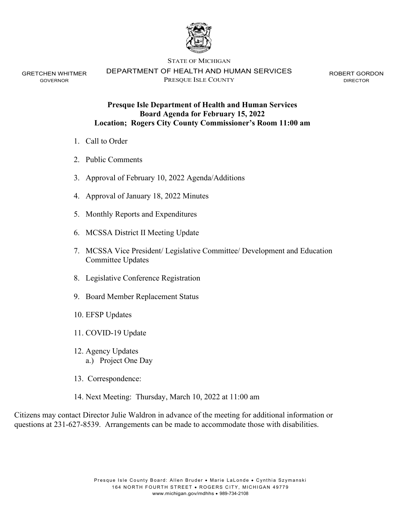

GRETCHEN WHITMER DEPARTMENT OF HEALTH AND HUMAN SERVICES ROBERT GORDON GOVERNOR PRESQUE ISLE COUNTY DIRECTOR

# **Presque Isle Department of Health and Human Services Board Agenda for February 15, 2022 Location; Rogers City County Commissioner's Room 11:00 am**

- 1. Call to Order
- 2. Public Comments
- 3. Approval of February 10, 2022 Agenda/Additions
- 4. Approval of January 18, 2022 Minutes
- 5. Monthly Reports and Expenditures
- 6. MCSSA District II Meeting Update
- 7. MCSSA Vice President/ Legislative Committee/ Development and Education Committee Updates
- 8. Legislative Conference Registration
- 9. Board Member Replacement Status
- 10. EFSP Updates
- 11. COVID-19 Update
- 12. Agency Updates a.) Project One Day
- 13. Correspondence:
- 14. Next Meeting: Thursday, March 10, 2022 at 11:00 am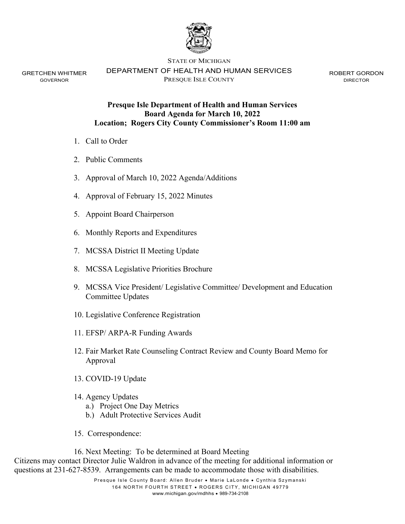

GRETCHEN WHITMER GOVERNOR

DEPARTMENT OF HEALTH AND HUMAN SERVICES PRESQUE ISLE COUNTY

ROBERT GORDON DIRECTOR

# **Presque Isle Department of Health and Human Services Board Agenda for March 10, 2022 Location; Rogers City County Commissioner's Room 11:00 am**

- 1. Call to Order
- 2. Public Comments
- 3. Approval of March 10, 2022 Agenda/Additions
- 4. Approval of February 15, 2022 Minutes
- 5. Appoint Board Chairperson
- 6. Monthly Reports and Expenditures
- 7. MCSSA District II Meeting Update
- 8. MCSSA Legislative Priorities Brochure
- 9. MCSSA Vice President/ Legislative Committee/ Development and Education Committee Updates
- 10. Legislative Conference Registration
- 11. EFSP/ ARPA-R Funding Awards
- 12. Fair Market Rate Counseling Contract Review and County Board Memo for Approval
- 13. COVID-19 Update
- 14. Agency Updates
	- a.) Project One Day Metrics
	- b.) Adult Protective Services Audit
- 15. Correspondence:

16. Next Meeting: To be determined at Board Meeting Citizens may contact Director Julie Waldron in advance of the meeting for additional information or questions at 231-627-8539. Arrangements can be made to accommodate those with disabilities.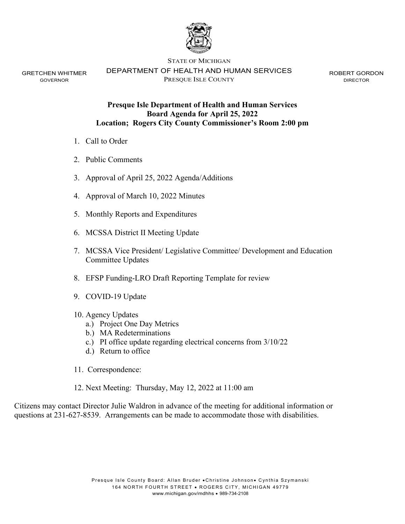

GRETCHEN WHITMER GOVERNOR

DEPARTMENT OF HEALTH AND HUMAN SERVICES PRESQUE ISLE COUNTY

ROBERT GORDON DIRECTOR

# **Presque Isle Department of Health and Human Services Board Agenda for April 25, 2022 Location; Rogers City County Commissioner's Room 2:00 pm**

- 1. Call to Order
- 2. Public Comments
- 3. Approval of April 25, 2022 Agenda/Additions
- 4. Approval of March 10, 2022 Minutes
- 5. Monthly Reports and Expenditures
- 6. MCSSA District II Meeting Update
- 7. MCSSA Vice President/ Legislative Committee/ Development and Education Committee Updates
- 8. EFSP Funding-LRO Draft Reporting Template for review
- 9. COVID-19 Update
- 10. Agency Updates
	- a.) Project One Day Metrics
	- b.) MA Redeterminations
	- c.) PI office update regarding electrical concerns from 3/10/22
	- d.) Return to office
- 11. Correspondence:
- 12. Next Meeting: Thursday, May 12, 2022 at 11:00 am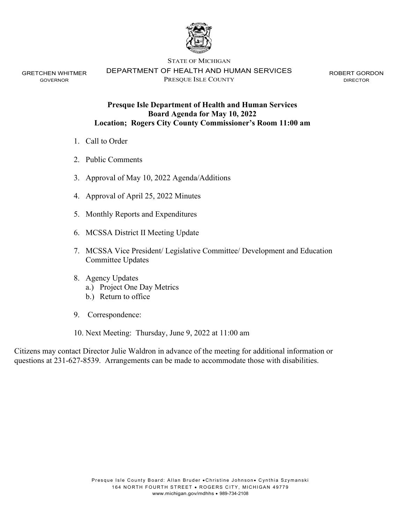

GRETCHEN WHITMER GOVERNOR

DEPARTMENT OF HEALTH AND HUMAN SERVICES PRESQUE ISLE COUNTY

ROBERT GORDON DIRECTOR

# **Presque Isle Department of Health and Human Services Board Agenda for May 10, 2022 Location; Rogers City County Commissioner's Room 11:00 am**

- 1. Call to Order
- 2. Public Comments
- 3. Approval of May 10, 2022 Agenda/Additions
- 4. Approval of April 25, 2022 Minutes
- 5. Monthly Reports and Expenditures
- 6. MCSSA District II Meeting Update
- 7. MCSSA Vice President/ Legislative Committee/ Development and Education Committee Updates
- 8. Agency Updates
	- a.) Project One Day Metrics
	- b.) Return to office
- 9. Correspondence:
- 10. Next Meeting: Thursday, June 9, 2022 at 11:00 am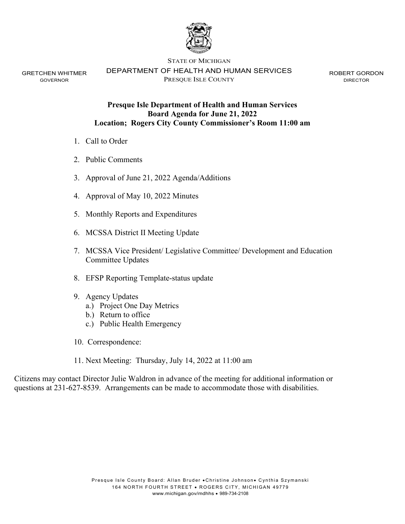

GRETCHEN WHITMER GOVERNOR

STATE OF MICHIGAN

DEPARTMENT OF HEALTH AND HUMAN SERVICES

PRESQUE ISLE COUNTY

ROBERT GORDON DIRECTOR

# **Presque Isle Department of Health and Human Services Board Agenda for June 21, 2022 Location; Rogers City County Commissioner's Room 11:00 am**

- 1. Call to Order
- 2. Public Comments
- 3. Approval of June 21, 2022 Agenda/Additions
- 4. Approval of May 10, 2022 Minutes
- 5. Monthly Reports and Expenditures
- 6. MCSSA District II Meeting Update
- 7. MCSSA Vice President/ Legislative Committee/ Development and Education Committee Updates
- 8. EFSP Reporting Template-status update
- 9. Agency Updates
	- a.) Project One Day Metrics
	- b.) Return to office
	- c.) Public Health Emergency
- 10. Correspondence:
- 11. Next Meeting: Thursday, July 14, 2022 at 11:00 am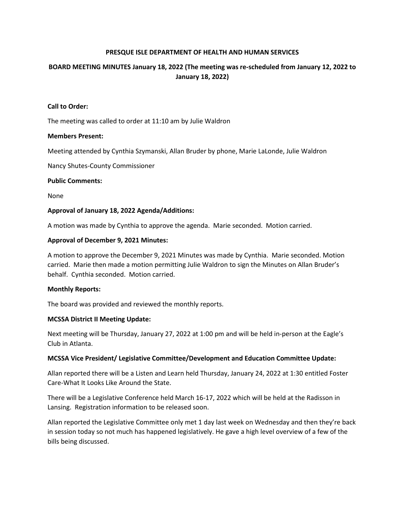# **BOARD MEETING MINUTES January 18, 2022 (The meeting was re-scheduled from January 12, 2022 to January 18, 2022)**

#### **Call to Order:**

The meeting was called to order at 11:10 am by Julie Waldron

### **Members Present:**

Meeting attended by Cynthia Szymanski, Allan Bruder by phone, Marie LaLonde, Julie Waldron

Nancy Shutes-County Commissioner

### **Public Comments:**

None

### **Approval of January 18, 2022 Agenda/Additions:**

A motion was made by Cynthia to approve the agenda. Marie seconded. Motion carried.

### **Approval of December 9, 2021 Minutes:**

 A motion to approve the December 9, 2021 Minutes was made by Cynthia. Marie seconded. Motion carried. Marie then made a motion permitting Julie Waldron to sign the Minutes on Allan Bruder's behalf. Cynthia seconded. Motion carried.

#### **Monthly Reports:**

The board was provided and reviewed the monthly reports.

#### **MCSSA District II Meeting Update:**

Next meeting will be Thursday, January 27, 2022 at 1:00 pm and will be held in-person at the Eagle's Club in Atlanta.

## **MCSSA Vice President/ Legislative Committee/Development and Education Committee Update:**

 Allan reported there will be a Listen and Learn held Thursday, January 24, 2022 at 1:30 entitled Foster Care-What It Looks Like Around the State.

 There will be a Legislative Conference held March 16-17, 2022 which will be held at the Radisson in Lansing. Registration information to be released soon.

 Allan reported the Legislative Committee only met 1 day last week on Wednesday and then they're back in session today so not much has happened legislatively. He gave a high level overview of a few of the bills being discussed.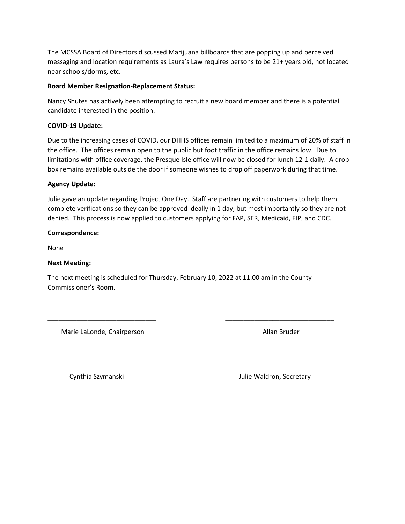messaging and location requirements as Laura's Law requires persons to be 21+ years old, not located The MCSSA Board of Directors discussed Marijuana billboards that are popping up and perceived near schools/dorms, etc.

## **Board Member Resignation-Replacement Status:**

 Nancy Shutes has actively been attempting to recruit a new board member and there is a potential candidate interested in the position.

# **COVID-19 Update:**

 Due to the increasing cases of COVID, our DHHS offices remain limited to a maximum of 20% of staff in the office. The offices remain open to the public but foot traffic in the office remains low. Due to limitations with office coverage, the Presque Isle office will now be closed for lunch 12-1 daily. A drop box remains available outside the door if someone wishes to drop off paperwork during that time.

# **Agency Update:**

 Julie gave an update regarding Project One Day. Staff are partnering with customers to help them complete verifications so they can be approved ideally in 1 day, but most importantly so they are not denied. This process is now applied to customers applying for FAP, SER, Medicaid, FIP, and CDC.

# **Correspondence:**

None

## **Next Meeting:**

The next meeting is scheduled for Thursday, February 10, 2022 at 11:00 am in the County Commissioner's Room.

\_\_\_\_\_\_\_\_\_\_\_\_\_\_\_\_\_\_\_\_\_\_\_\_\_\_\_\_\_\_ \_\_\_\_\_\_\_\_\_\_\_\_\_\_\_\_\_\_\_\_\_\_\_\_\_\_\_\_\_\_

\_\_\_\_\_\_\_\_\_\_\_\_\_\_\_\_\_\_\_\_\_\_\_\_\_\_\_\_\_\_ \_\_\_\_\_\_\_\_\_\_\_\_\_\_\_\_\_\_\_\_\_\_\_\_\_\_\_\_\_\_

Marie LaLonde, Chairperson **Allan Bruder** Allan Bruder

Cynthia Szymanski achores and the University Cynthia Szymanski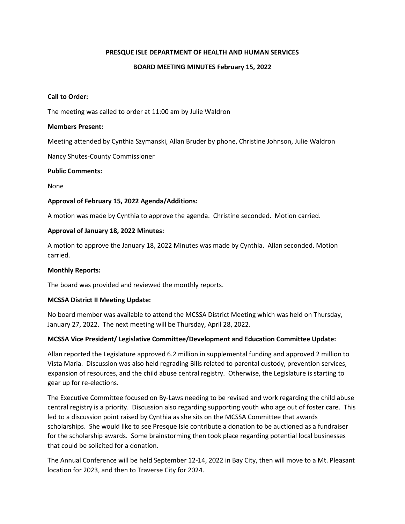### **BOARD MEETING MINUTES February 15, 2022**

#### **Call to Order:**

The meeting was called to order at 11:00 am by Julie Waldron

#### **Members Present:**

Meeting attended by Cynthia Szymanski, Allan Bruder by phone, Christine Johnson, Julie Waldron

Nancy Shutes-County Commissioner

### **Public Comments:**

None

### **Approval of February 15, 2022 Agenda/Additions:**

A motion was made by Cynthia to approve the agenda. Christine seconded. Motion carried.

### **Approval of January 18, 2022 Minutes:**

A motion to approve the January 18, 2022 Minutes was made by Cynthia. Allan seconded. Motion carried.

#### **Monthly Reports:**

The board was provided and reviewed the monthly reports.

## **MCSSA District II Meeting Update:**

No board member was available to attend the MCSSA District Meeting which was held on Thursday, January 27, 2022. The next meeting will be Thursday, April 28, 2022.

## **MCSSA Vice President/ Legislative Committee/Development and Education Committee Update:**

Allan reported the Legislature approved 6.2 million in supplemental funding and approved 2 million to Vista Maria. Discussion was also held regrading Bills related to parental custody, prevention services, expansion of resources, and the child abuse central registry. Otherwise, the Legislature is starting to gear up for re-elections.

The Executive Committee focused on By-Laws needing to be revised and work regarding the child abuse central registry is a priority. Discussion also regarding supporting youth who age out of foster care. This led to a discussion point raised by Cynthia as she sits on the MCSSA Committee that awards scholarships. She would like to see Presque Isle contribute a donation to be auctioned as a fundraiser for the scholarship awards. Some brainstorming then took place regarding potential local businesses that could be solicited for a donation.

The Annual Conference will be held September 12-14, 2022 in Bay City, then will move to a Mt. Pleasant location for 2023, and then to Traverse City for 2024.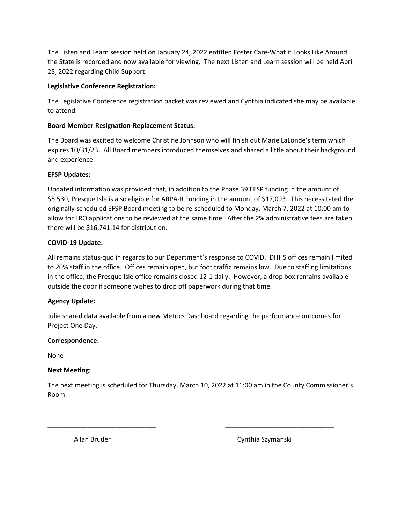The Listen and Learn session held on January 24, 2022 entitled Foster Care-What it Looks Like Around the State is recorded and now available for viewing. The next Listen and Learn session will be held April 25, 2022 regarding Child Support.

# **Legislative Conference Registration:**

The Legislative Conference registration packet was reviewed and Cynthia indicated she may be available to attend.

# **Board Member Resignation-Replacement Status:**

The Board was excited to welcome Christine Johnson who will finish out Marie LaLonde's term which expires 10/31/23. All Board members introduced themselves and shared a little about their background and experience.

# **EFSP Updates:**

Updated information was provided that, in addition to the Phase 39 EFSP funding in the amount of \$5,530, Presque Isle is also eligible for ARPA-R Funding in the amount of \$17,093. This necessitated the originally scheduled EFSP Board meeting to be re-scheduled to Monday, March 7, 2022 at 10:00 am to allow for LRO applications to be reviewed at the same time. After the 2% administrative fees are taken, there will be \$16,741.14 for distribution.

# **COVID-19 Update:**

All remains status-quo in regards to our Department's response to COVID. DHHS offices remain limited to 20% staff in the office. Offices remain open, but foot traffic remains low. Due to staffing limitations in the office, the Presque Isle office remains closed 12-1 daily. However, a drop box remains available outside the door if someone wishes to drop off paperwork during that time.

# **Agency Update:**

Julie shared data available from a new Metrics Dashboard regarding the performance outcomes for Project One Day.

# **Correspondence:**

None

# **Next Meeting:**

The next meeting is scheduled for Thursday, March 10, 2022 at 11:00 am in the County Commissioner's Room.

\_\_\_\_\_\_\_\_\_\_\_\_\_\_\_\_\_\_\_\_\_\_\_\_\_\_\_\_\_\_ \_\_\_\_\_\_\_\_\_\_\_\_\_\_\_\_\_\_\_\_\_\_\_\_\_\_\_\_\_\_

Allan Bruder Cynthia Szymanski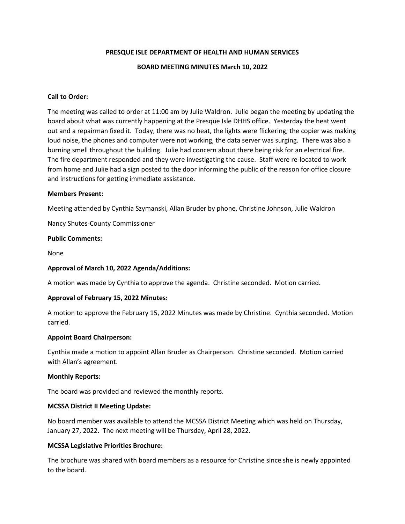### **BOARD MEETING MINUTES March 10, 2022**

### **Call to Order:**

The meeting was called to order at 11:00 am by Julie Waldron. Julie began the meeting by updating the board about what was currently happening at the Presque Isle DHHS office. Yesterday the heat went out and a repairman fixed it. Today, there was no heat, the lights were flickering, the copier was making loud noise, the phones and computer were not working, the data server was surging. There was also a burning smell throughout the building. Julie had concern about there being risk for an electrical fire. The fire department responded and they were investigating the cause. Staff were re-located to work from home and Julie had a sign posted to the door informing the public of the reason for office closure and instructions for getting immediate assistance.

#### **Members Present:**

Meeting attended by Cynthia Szymanski, Allan Bruder by phone, Christine Johnson, Julie Waldron

Nancy Shutes-County Commissioner

### **Public Comments:**

None

## **Approval of March 10, 2022 Agenda/Additions:**

A motion was made by Cynthia to approve the agenda. Christine seconded. Motion carried.

## **Approval of February 15, 2022 Minutes:**

A motion to approve the February 15, 2022 Minutes was made by Christine. Cynthia seconded. Motion carried.

#### **Appoint Board Chairperson:**

Cynthia made a motion to appoint Allan Bruder as Chairperson. Christine seconded. Motion carried with Allan's agreement.

#### **Monthly Reports:**

The board was provided and reviewed the monthly reports.

#### **MCSSA District II Meeting Update:**

No board member was available to attend the MCSSA District Meeting which was held on Thursday, January 27, 2022. The next meeting will be Thursday, April 28, 2022.

## **MCSSA Legislative Priorities Brochure:**

The brochure was shared with board members as a resource for Christine since she is newly appointed to the board.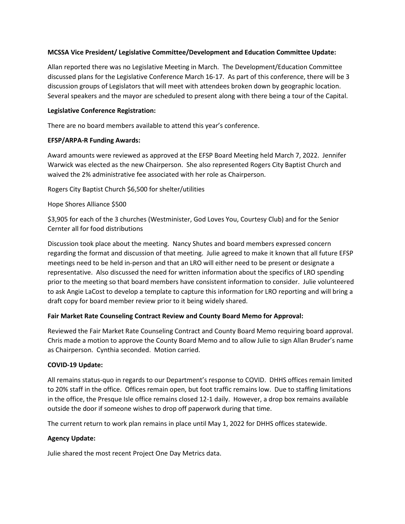## **MCSSA Vice President/ Legislative Committee/Development and Education Committee Update:**

Allan reported there was no Legislative Meeting in March. The Development/Education Committee discussed plans for the Legislative Conference March 16-17. As part of this conference, there will be 3 discussion groups of Legislators that will meet with attendees broken down by geographic location. Several speakers and the mayor are scheduled to present along with there being a tour of the Capital.

## **Legislative Conference Registration:**

There are no board members available to attend this year's conference.

# **EFSP/ARPA-R Funding Awards:**

Award amounts were reviewed as approved at the EFSP Board Meeting held March 7, 2022. Jennifer Warwick was elected as the new Chairperson. She also represented Rogers City Baptist Church and waived the 2% administrative fee associated with her role as Chairperson.

Rogers City Baptist Church \$6,500 for shelter/utilities

# Hope Shores Alliance \$500

\$3,905 for each of the 3 churches (Westminister, God Loves You, Courtesy Club) and for the Senior Cernter all for food distributions

Discussion took place about the meeting. Nancy Shutes and board members expressed concern regarding the format and discussion of that meeting. Julie agreed to make it known that all future EFSP meetings need to be held in-person and that an LRO will either need to be present or designate a representative. Also discussed the need for written information about the specifics of LRO spending prior to the meeting so that board members have consistent information to consider. Julie volunteered to ask Angie LaCost to develop a template to capture this information for LRO reporting and will bring a draft copy for board member review prior to it being widely shared.

# **Fair Market Rate Counseling Contract Review and County Board Memo for Approval:**

Reviewed the Fair Market Rate Counseling Contract and County Board Memo requiring board approval. Chris made a motion to approve the County Board Memo and to allow Julie to sign Allan Bruder's name as Chairperson. Cynthia seconded. Motion carried.

# **COVID-19 Update:**

All remains status-quo in regards to our Department's response to COVID. DHHS offices remain limited to 20% staff in the office. Offices remain open, but foot traffic remains low. Due to staffing limitations in the office, the Presque Isle office remains closed 12-1 daily. However, a drop box remains available outside the door if someone wishes to drop off paperwork during that time.

The current return to work plan remains in place until May 1, 2022 for DHHS offices statewide.

## **Agency Update:**

Julie shared the most recent Project One Day Metrics data.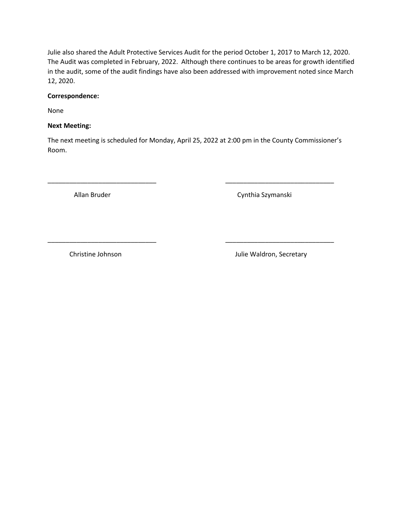Julie also shared the Adult Protective Services Audit for the period October 1, 2017 to March 12, 2020. The Audit was completed in February, 2022. Although there continues to be areas for growth identified in the audit, some of the audit findings have also been addressed with improvement noted since March 12, 2020.

## **Correspondence:**

None

# **Next Meeting:**

The next meeting is scheduled for Monday, April 25, 2022 at 2:00 pm in the County Commissioner's Room.

\_\_\_\_\_\_\_\_\_\_\_\_\_\_\_\_\_\_\_\_\_\_\_\_\_\_\_\_\_\_ \_\_\_\_\_\_\_\_\_\_\_\_\_\_\_\_\_\_\_\_\_\_\_\_\_\_\_\_\_\_

\_\_\_\_\_\_\_\_\_\_\_\_\_\_\_\_\_\_\_\_\_\_\_\_\_\_\_\_\_\_ \_\_\_\_\_\_\_\_\_\_\_\_\_\_\_\_\_\_\_\_\_\_\_\_\_\_\_\_\_\_

Allan Bruder Cynthia Szymanski

Christine Johnson **Julie Waldron**, Secretary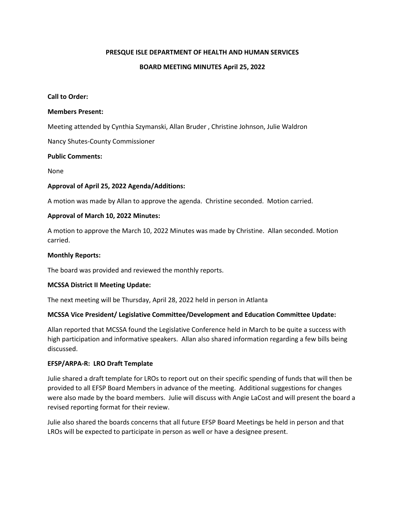#### **BOARD MEETING MINUTES April 25, 2022**

#### **Call to Order:**

#### **Members Present:**

Meeting attended by Cynthia Szymanski, Allan Bruder , Christine Johnson, Julie Waldron

Nancy Shutes-County Commissioner

#### **Public Comments:**

None

#### **Approval of April 25, 2022 Agenda/Additions:**

A motion was made by Allan to approve the agenda. Christine seconded. Motion carried.

#### **Approval of March 10, 2022 Minutes:**

A motion to approve the March 10, 2022 Minutes was made by Christine. Allan seconded. Motion carried.

#### **Monthly Reports:**

The board was provided and reviewed the monthly reports.

#### **MCSSA District II Meeting Update:**

The next meeting will be Thursday, April 28, 2022 held in person in Atlanta

## **MCSSA Vice President/ Legislative Committee/Development and Education Committee Update:**

Allan reported that MCSSA found the Legislative Conference held in March to be quite a success with high participation and informative speakers. Allan also shared information regarding a few bills being discussed.

#### **EFSP/ARPA-R: LRO Draft Template**

Julie shared a draft template for LROs to report out on their specific spending of funds that will then be provided to all EFSP Board Members in advance of the meeting. Additional suggestions for changes were also made by the board members. Julie will discuss with Angie LaCost and will present the board a revised reporting format for their review.

Julie also shared the boards concerns that all future EFSP Board Meetings be held in person and that LROs will be expected to participate in person as well or have a designee present.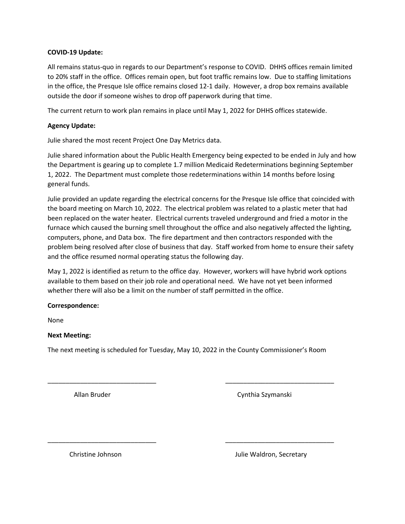## **COVID-19 Update:**

All remains status-quo in regards to our Department's response to COVID. DHHS offices remain limited to 20% staff in the office. Offices remain open, but foot traffic remains low. Due to staffing limitations in the office, the Presque Isle office remains closed 12-1 daily. However, a drop box remains available outside the door if someone wishes to drop off paperwork during that time.

The current return to work plan remains in place until May 1, 2022 for DHHS offices statewide.

# **Agency Update:**

Julie shared the most recent Project One Day Metrics data.

Julie shared information about the Public Health Emergency being expected to be ended in July and how the Department is gearing up to complete 1.7 million Medicaid Redeterminations beginning September 1, 2022. The Department must complete those redeterminations within 14 months before losing general funds.

Julie provided an update regarding the electrical concerns for the Presque Isle office that coincided with the board meeting on March 10, 2022. The electrical problem was related to a plastic meter that had been replaced on the water heater. Electrical currents traveled underground and fried a motor in the furnace which caused the burning smell throughout the office and also negatively affected the lighting, computers, phone, and Data box. The fire department and then contractors responded with the problem being resolved after close of business that day. Staff worked from home to ensure their safety and the office resumed normal operating status the following day.

May 1, 2022 is identified as return to the office day. However, workers will have hybrid work options available to them based on their job role and operational need. We have not yet been informed whether there will also be a limit on the number of staff permitted in the office.

## **Correspondence:**

None

## **Next Meeting:**

The next meeting is scheduled for Tuesday, May 10, 2022 in the County Commissioner's Room

\_\_\_\_\_\_\_\_\_\_\_\_\_\_\_\_\_\_\_\_\_\_\_\_\_\_\_\_\_\_ \_\_\_\_\_\_\_\_\_\_\_\_\_\_\_\_\_\_\_\_\_\_\_\_\_\_\_\_\_\_

\_\_\_\_\_\_\_\_\_\_\_\_\_\_\_\_\_\_\_\_\_\_\_\_\_\_\_\_\_\_ \_\_\_\_\_\_\_\_\_\_\_\_\_\_\_\_\_\_\_\_\_\_\_\_\_\_\_\_\_\_

Allan Bruder Cynthia Szymanski

Christine Johnson **Julie Waldron**, Secretary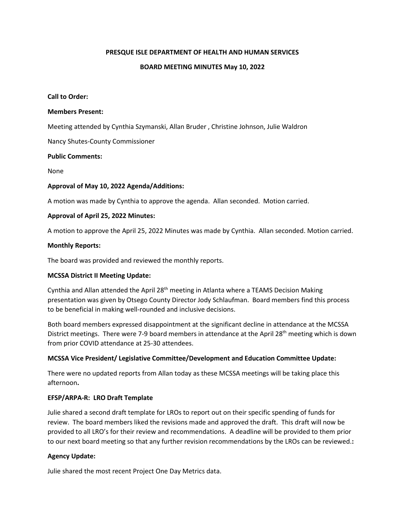### **BOARD MEETING MINUTES May 10, 2022**

#### **Call to Order:**

#### **Members Present:**

Meeting attended by Cynthia Szymanski, Allan Bruder , Christine Johnson, Julie Waldron

Nancy Shutes-County Commissioner

#### **Public Comments:**

None

#### **Approval of May 10, 2022 Agenda/Additions:**

A motion was made by Cynthia to approve the agenda. Allan seconded. Motion carried.

#### **Approval of April 25, 2022 Minutes:**

A motion to approve the April 25, 2022 Minutes was made by Cynthia. Allan seconded. Motion carried.

#### **Monthly Reports:**

The board was provided and reviewed the monthly reports.

#### **MCSSA District II Meeting Update:**

Cynthia and Allan attended the April 28<sup>th</sup> meeting in Atlanta where a TEAMS Decision Making presentation was given by Otsego County Director Jody Schlaufman. Board members find this process to be beneficial in making well-rounded and inclusive decisions.

Both board members expressed disappointment at the significant decline in attendance at the MCSSA District meetings. There were 7-9 board members in attendance at the April 28<sup>th</sup> meeting which is down from prior COVID attendance at 25-30 attendees.

## **MCSSA Vice President/ Legislative Committee/Development and Education Committee Update:**

There were no updated reports from Allan today as these MCSSA meetings will be taking place this afternoon**.**

#### **EFSP/ARPA-R: LRO Draft Template**

Julie shared a second draft template for LROs to report out on their specific spending of funds for review. The board members liked the revisions made and approved the draft. This draft will now be provided to all LRO's for their review and recommendations. A deadline will be provided to them prior to our next board meeting so that any further revision recommendations by the LROs can be reviewed.**:** 

## **Agency Update:**

Julie shared the most recent Project One Day Metrics data.